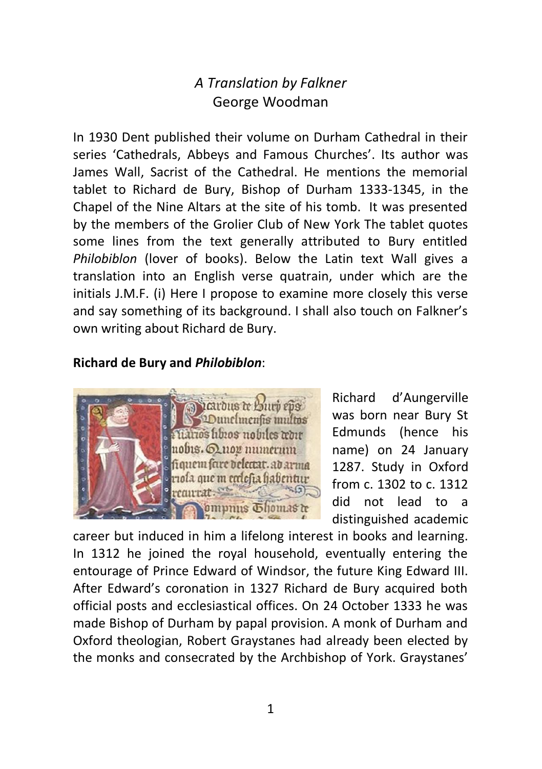# *A Translation by Falkner* George Woodman

In 1930 Dent published their volume on Durham Cathedral in their series 'Cathedrals, Abbeys and Famous Churches'. Its author was James Wall, Sacrist of the Cathedral. He mentions the memorial tablet to Richard de Bury, Bishop of Durham 1333-1345, in the Chapel of the Nine Altars at the site of his tomb. It was presented by the members of the Grolier Club of New York The tablet quotes some lines from the text generally attributed to Bury entitled *Philobiblon* (lover of books). Below the Latin text Wall gives a translation into an English verse quatrain, under which are the initials J.M.F. (i) Here I propose to examine more closely this verse and say something of its background. I shall also touch on Falkner's own writing about Richard de Bury.

### **Richard de Bury and** *Philobiblon*:



Richard d'Aungerville was born near Bury St Edmunds (hence his name) on 24 January 1287. Study in Oxford from c. 1302 to c. 1312 did not lead to a distinguished academic

career but induced in him a lifelong interest in books and learning. In 1312 he joined the royal household, eventually entering the entourage of Prince Edward of Windsor, the future King Edward III. After Edward's coronation in 1327 Richard de Bury acquired both official posts and ecclesiastical offices. On 24 October 1333 he was made Bishop of Durham by papal provision. A monk of Durham and Oxford theologian, Robert Graystanes had already been elected by the monks and consecrated by the Archbishop of York. Graystanes'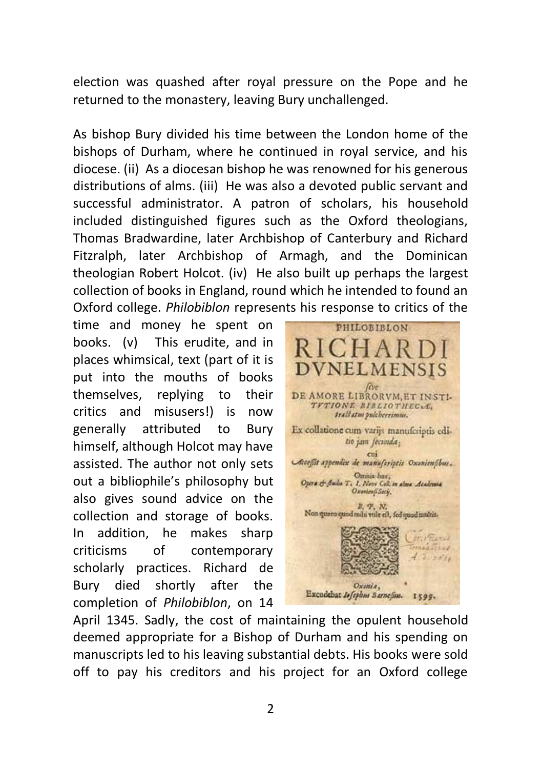election was quashed after royal pressure on the Pope and he returned to the monastery, leaving Bury unchallenged.

As bishop Bury divided his time between the London home of the bishops of Durham, where he continued in royal service, and his diocese. (ii) As a diocesan bishop he was renowned for his generous distributions of alms. (iii) He was also a devoted public servant and successful administrator. A patron of scholars, his household included distinguished figures such as the Oxford theologians, Thomas Bradwardine, later Archbishop of Canterbury and Richard Fitzralph, later Archbishop of Armagh, and the Dominican theologian Robert Holcot. (iv) He also built up perhaps the largest collection of books in England, round which he intended to found an Oxford college. *Philobiblon* represents his response to critics of the

time and money he spent on books. (v) This erudite, and in places whimsical, text (part of it is put into the mouths of books themselves, replying to their critics and misusers!) is now generally attributed to Bury himself, although Holcot may have assisted. The author not only sets out a bibliophile's philosophy but also gives sound advice on the collection and storage of books. In addition, he makes sharp criticisms of contemporary scholarly practices. Richard de Bury died shortly after the completion of *Philobiblon*, on 14



April 1345. Sadly, the cost of maintaining the opulent household deemed appropriate for a Bishop of Durham and his spending on manuscripts led to his leaving substantial debts. His books were sold off to pay his creditors and his project for an Oxford college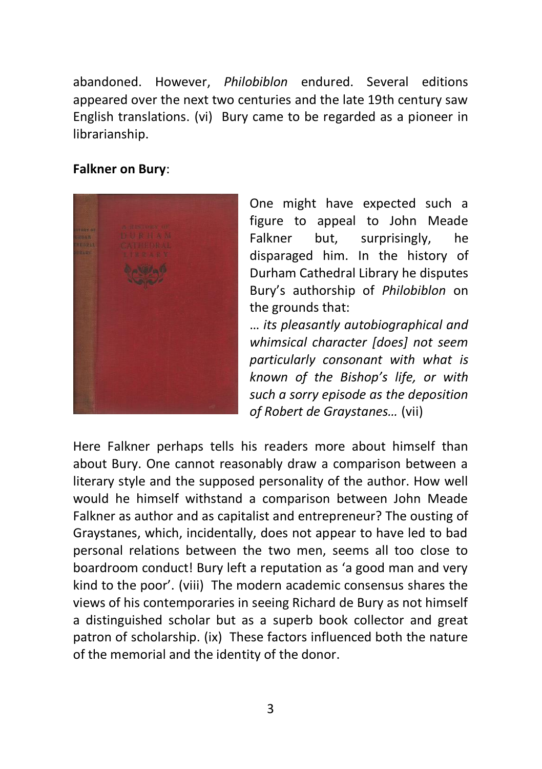abandoned. However, *Philobiblon* endured. Several editions appeared over the next two centuries and the late 19th century saw English translations. (vi) Bury came to be regarded as a pioneer in librarianship.

#### **Falkner on Bury**:



One might have expected such a figure to appeal to John Meade Falkner but, surprisingly, he disparaged him. In the history of Durham Cathedral Library he disputes Bury's authorship of *Philobiblon* on the grounds that:

… *its pleasantly autobiographical and whimsical character [does] not seem particularly consonant with what is known of the Bishop's life, or with such a sorry episode as the deposition of Robert de Graystanes…* (vii)

Here Falkner perhaps tells his readers more about himself than about Bury. One cannot reasonably draw a comparison between a literary style and the supposed personality of the author. How well would he himself withstand a comparison between John Meade Falkner as author and as capitalist and entrepreneur? The ousting of Graystanes, which, incidentally, does not appear to have led to bad personal relations between the two men, seems all too close to boardroom conduct! Bury left a reputation as 'a good man and very kind to the poor'. (viii) The modern academic consensus shares the views of his contemporaries in seeing Richard de Bury as not himself a distinguished scholar but as a superb book collector and great patron of scholarship. (ix) These factors influenced both the nature of the memorial and the identity of the donor.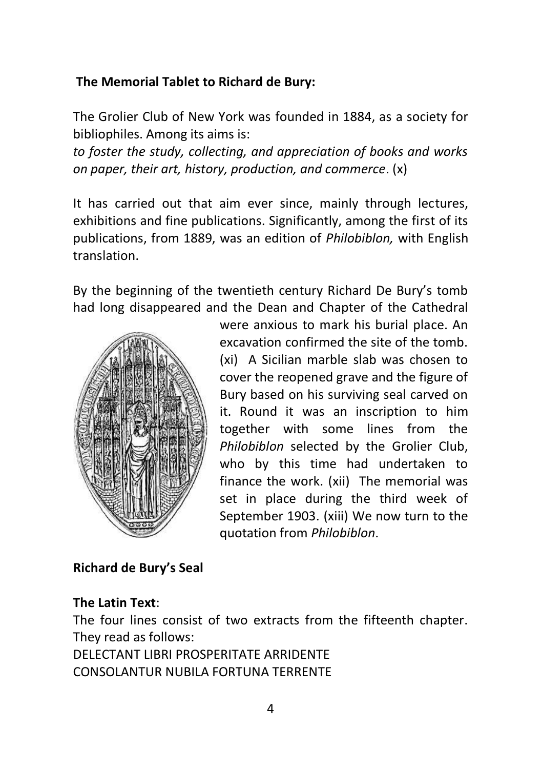### **The Memorial Tablet to Richard de Bury:**

The Grolier Club of New York was founded in 1884, as a society for bibliophiles. Among its aims is:

*to foster the study, collecting, and appreciation of books and works on paper, their art, history, production, and commerce*. (x)

It has carried out that aim ever since, mainly through lectures, exhibitions and fine publications. Significantly, among the first of its publications, from 1889, was an edition of *Philobiblon,* with English translation.

By the beginning of the twentieth century Richard De Bury's tomb had long disappeared and the Dean and Chapter of the Cathedral



were anxious to mark his burial place. An excavation confirmed the site of the tomb. (xi) A Sicilian marble slab was chosen to cover the reopened grave and the figure of Bury based on his surviving seal carved on it. Round it was an inscription to him together with some lines from the *Philobiblon* selected by the Grolier Club, who by this time had undertaken to finance the work. (xii) The memorial was set in place during the third week of September 1903. (xiii) We now turn to the quotation from *Philobiblon*.

### **Richard de Bury's Seal**

#### **The Latin Text**:

The four lines consist of two extracts from the fifteenth chapter. They read as follows:

DELECTANT LIBRI PROSPERITATE ARRIDENTE CONSOLANTUR NUBILA FORTUNA TERRENTE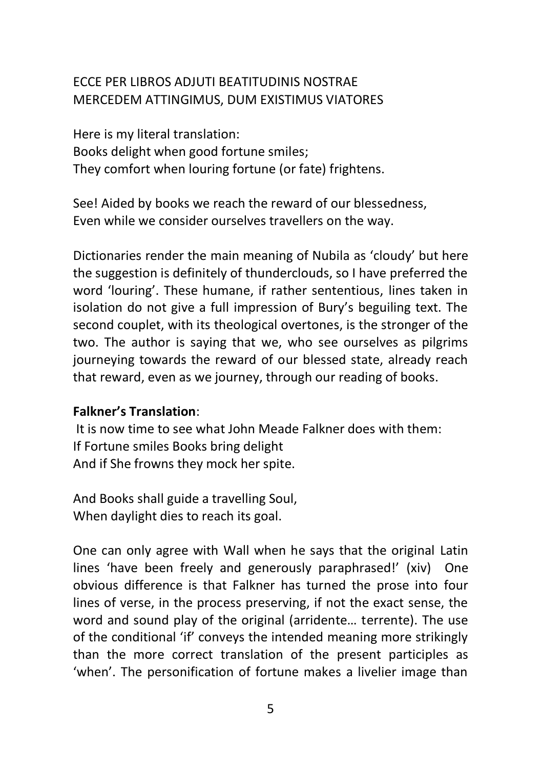# ECCE PER LIBROS ADJUTI BEATITUDINIS NOSTRAE MERCEDEM ATTINGIMUS, DUM EXISTIMUS VIATORES

Here is my literal translation: Books delight when good fortune smiles; They comfort when louring fortune (or fate) frightens.

See! Aided by books we reach the reward of our blessedness, Even while we consider ourselves travellers on the way.

Dictionaries render the main meaning of Nubila as 'cloudy' but here the suggestion is definitely of thunderclouds, so I have preferred the word 'louring'. These humane, if rather sententious, lines taken in isolation do not give a full impression of Bury's beguiling text. The second couplet, with its theological overtones, is the stronger of the two. The author is saying that we, who see ourselves as pilgrims journeying towards the reward of our blessed state, already reach that reward, even as we journey, through our reading of books.

#### **Falkner's Translation**:

It is now time to see what John Meade Falkner does with them: If Fortune smiles Books bring delight And if She frowns they mock her spite.

And Books shall guide a travelling Soul, When daylight dies to reach its goal.

One can only agree with Wall when he says that the original Latin lines 'have been freely and generously paraphrased!' (xiv) One obvious difference is that Falkner has turned the prose into four lines of verse, in the process preserving, if not the exact sense, the word and sound play of the original (arridente… terrente). The use of the conditional 'if' conveys the intended meaning more strikingly than the more correct translation of the present participles as 'when'. The personification of fortune makes a livelier image than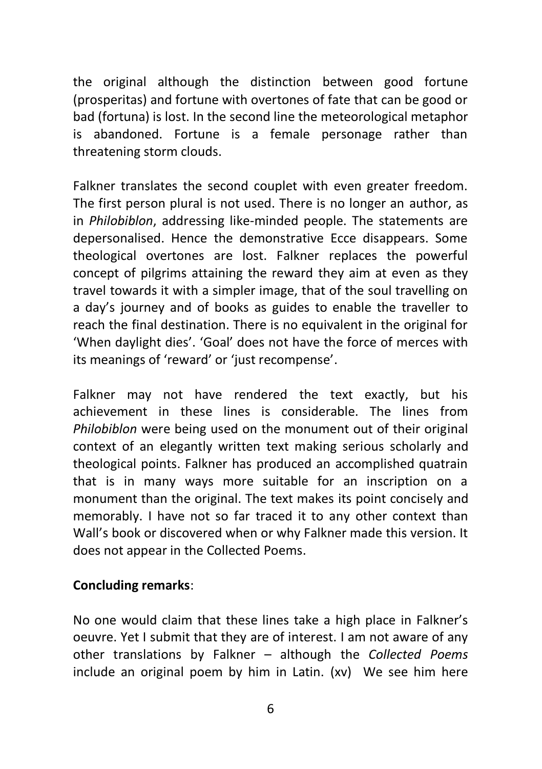the original although the distinction between good fortune (prosperitas) and fortune with overtones of fate that can be good or bad (fortuna) is lost. In the second line the meteorological metaphor is abandoned. Fortune is a female personage rather than threatening storm clouds.

Falkner translates the second couplet with even greater freedom. The first person plural is not used. There is no longer an author, as in *Philobiblon*, addressing like-minded people. The statements are depersonalised. Hence the demonstrative Ecce disappears. Some theological overtones are lost. Falkner replaces the powerful concept of pilgrims attaining the reward they aim at even as they travel towards it with a simpler image, that of the soul travelling on a day's journey and of books as guides to enable the traveller to reach the final destination. There is no equivalent in the original for 'When daylight dies'. 'Goal' does not have the force of merces with its meanings of 'reward' or 'just recompense'.

Falkner may not have rendered the text exactly, but his achievement in these lines is considerable. The lines from *Philobiblon* were being used on the monument out of their original context of an elegantly written text making serious scholarly and theological points. Falkner has produced an accomplished quatrain that is in many ways more suitable for an inscription on a monument than the original. The text makes its point concisely and memorably. I have not so far traced it to any other context than Wall's book or discovered when or why Falkner made this version. It does not appear in the Collected Poems.

#### **Concluding remarks**:

No one would claim that these lines take a high place in Falkner's oeuvre. Yet I submit that they are of interest. I am not aware of any other translations by Falkner – although the *Collected Poems* include an original poem by him in Latin. (xv) We see him here